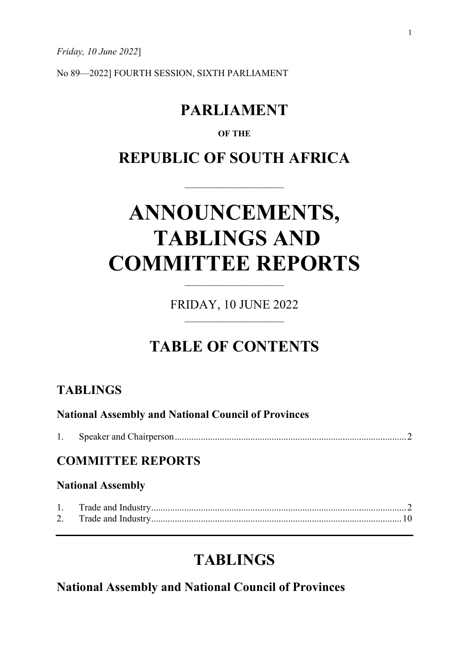*Friday, 10 June 2022*]

No 89—2022] FOURTH SESSION, SIXTH PARLIAMENT

# **PARLIAMENT**

### **OF THE**

# **REPUBLIC OF SOUTH AFRICA**

# **ANNOUNCEMENTS, TABLINGS AND COMMITTEE REPORTS**

FRIDAY, 10 JUNE 2022

 $\overline{\phantom{a}}$  , and the set of the set of the set of the set of the set of the set of the set of the set of the set of the set of the set of the set of the set of the set of the set of the set of the set of the set of the s

# **TABLE OF CONTENTS**

### **TABLINGS**

| <b>National Assembly and National Council of Provinces</b> |  |  |
|------------------------------------------------------------|--|--|
|                                                            |  |  |
| <b>COMMITTEE REPORTS</b><br><b>National Assembly</b>       |  |  |
|                                                            |  |  |
|                                                            |  |  |

## **TABLINGS**

**National Assembly and National Council of Provinces**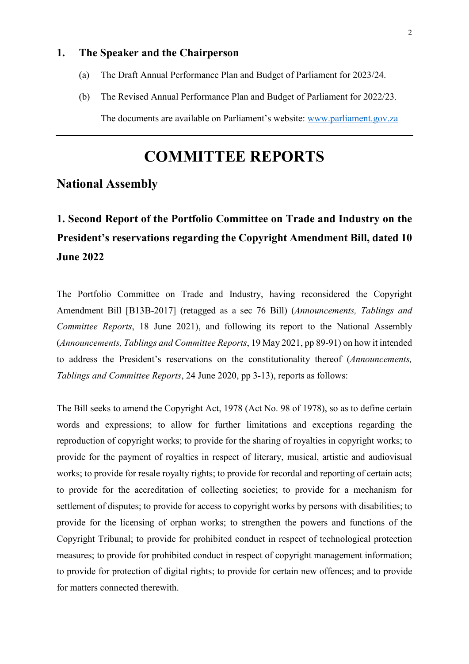### **1. The Speaker and the Chairperson**

- (a) The Draft Annual Performance Plan and Budget of Parliament for 2023/24.
- (b) The Revised Annual Performance Plan and Budget of Parliament for 2022/23. The documents are available on Parliament's website: [www.parliament.gov.za](http://www.parliament.gov.za/)

# **COMMITTEE REPORTS**

### **National Assembly**

# **1. Second Report of the Portfolio Committee on Trade and Industry on the President's reservations regarding the Copyright Amendment Bill, dated 10 June 2022**

The Portfolio Committee on Trade and Industry, having reconsidered the Copyright Amendment Bill [B13B-2017] (retagged as a sec 76 Bill) (*Announcements, Tablings and Committee Reports*, 18 June 2021), and following its report to the National Assembly (*Announcements, Tablings and Committee Reports*, 19 May 2021, pp 89-91) on how it intended to address the President's reservations on the constitutionality thereof (*Announcements, Tablings and Committee Reports*, 24 June 2020, pp 3-13), reports as follows:

The Bill seeks to amend the Copyright Act, 1978 (Act No. 98 of 1978), so as to define certain words and expressions; to allow for further limitations and exceptions regarding the reproduction of copyright works; to provide for the sharing of royalties in copyright works; to provide for the payment of royalties in respect of literary, musical, artistic and audiovisual works; to provide for resale royalty rights; to provide for recordal and reporting of certain acts; to provide for the accreditation of collecting societies; to provide for a mechanism for settlement of disputes; to provide for access to copyright works by persons with disabilities; to provide for the licensing of orphan works; to strengthen the powers and functions of the Copyright Tribunal; to provide for prohibited conduct in respect of technological protection measures; to provide for prohibited conduct in respect of copyright management information; to provide for protection of digital rights; to provide for certain new offences; and to provide for matters connected therewith.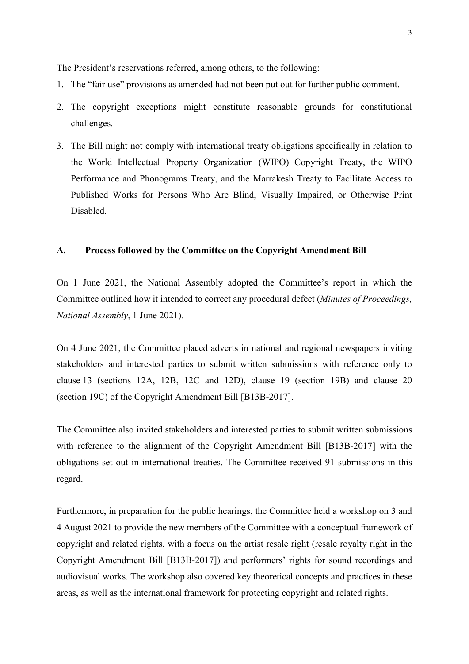The President's reservations referred, among others, to the following:

- 1. The "fair use" provisions as amended had not been put out for further public comment.
- 2. The copyright exceptions might constitute reasonable grounds for constitutional challenges.
- 3. The Bill might not comply with international treaty obligations specifically in relation to the World Intellectual Property Organization (WIPO) Copyright Treaty, the WIPO Performance and Phonograms Treaty, and the Marrakesh Treaty to Facilitate Access to Published Works for Persons Who Are Blind, Visually Impaired, or Otherwise Print Disabled.

#### **A. Process followed by the Committee on the Copyright Amendment Bill**

On 1 June 2021, the National Assembly adopted the Committee's report in which the Committee outlined how it intended to correct any procedural defect (*Minutes of Proceedings, National Assembly*, 1 June 2021)*.*

On 4 June 2021, the Committee placed adverts in national and regional newspapers inviting stakeholders and interested parties to submit written submissions with reference only to clause 13 (sections 12A, 12B, 12C and 12D), clause 19 (section 19B) and clause 20 (section 19C) of the Copyright Amendment Bill [B13B-2017].

The Committee also invited stakeholders and interested parties to submit written submissions with reference to the alignment of the Copyright Amendment Bill [B13B-2017] with the obligations set out in international treaties. The Committee received 91 submissions in this regard.

Furthermore, in preparation for the public hearings, the Committee held a workshop on 3 and 4 August 2021 to provide the new members of the Committee with a conceptual framework of copyright and related rights, with a focus on the artist resale right (resale royalty right in the Copyright Amendment Bill [B13B-2017]) and performers' rights for sound recordings and audiovisual works. The workshop also covered key theoretical concepts and practices in these areas, as well as the international framework for protecting copyright and related rights.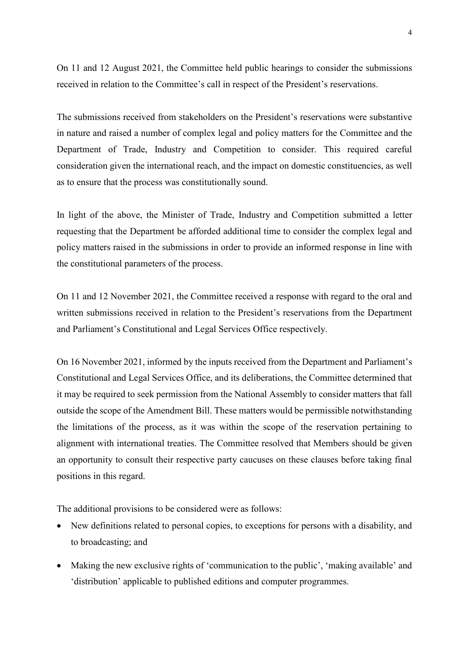On 11 and 12 August 2021, the Committee held public hearings to consider the submissions received in relation to the Committee's call in respect of the President's reservations.

The submissions received from stakeholders on the President's reservations were substantive in nature and raised a number of complex legal and policy matters for the Committee and the Department of Trade, Industry and Competition to consider. This required careful consideration given the international reach, and the impact on domestic constituencies, as well as to ensure that the process was constitutionally sound.

In light of the above, the Minister of Trade, Industry and Competition submitted a letter requesting that the Department be afforded additional time to consider the complex legal and policy matters raised in the submissions in order to provide an informed response in line with the constitutional parameters of the process.

On 11 and 12 November 2021, the Committee received a response with regard to the oral and written submissions received in relation to the President's reservations from the Department and Parliament's Constitutional and Legal Services Office respectively.

On 16 November 2021, informed by the inputs received from the Department and Parliament's Constitutional and Legal Services Office, and its deliberations, the Committee determined that it may be required to seek permission from the National Assembly to consider matters that fall outside the scope of the Amendment Bill. These matters would be permissible notwithstanding the limitations of the process, as it was within the scope of the reservation pertaining to alignment with international treaties. The Committee resolved that Members should be given an opportunity to consult their respective party caucuses on these clauses before taking final positions in this regard.

The additional provisions to be considered were as follows:

- New definitions related to personal copies, to exceptions for persons with a disability, and to broadcasting; and
- Making the new exclusive rights of 'communication to the public', 'making available' and 'distribution' applicable to published editions and computer programmes.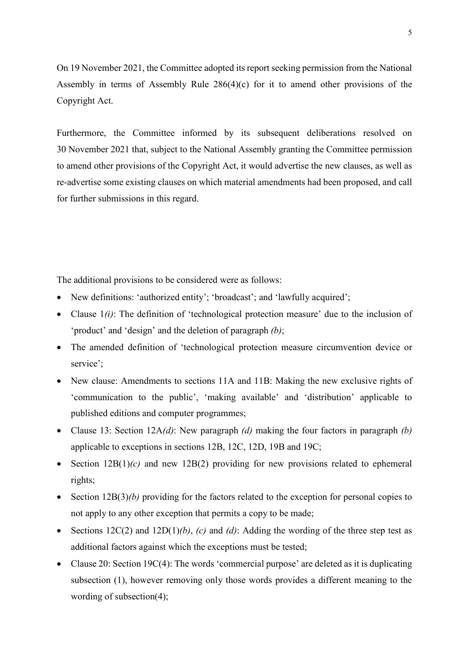On 19 November 2021, the Committee adopted its report seeking permission from the National Assembly in terms of Assembly Rule 286(4)(c) for it to amend other provisions of the Copyright Act.

Furthermore, the Committee informed by its subsequent deliberations resolved on 30 November 2021 that, subject to the National Assembly granting the Committee permission to amend other provisions of the Copyright Act, it would advertise the new clauses, as well as re-advertise some existing clauses on which material amendments had been proposed, and call for further submissions in this regard.

The additional provisions to be considered were as follows:

- New definitions: 'authorized entity'; 'broadcast'; and 'lawfully acquired';
- Clause  $1(i)$ : The definition of 'technological protection measure' due to the inclusion of 'product' and 'design' and the deletion of paragraph *(b)*;
- The amended definition of 'technological protection measure circumvention device or service';
- New clause: Amendments to sections 11A and 11B: Making the new exclusive rights of 'communication to the public', 'making available' and 'distribution' applicable to published editions and computer programmes;
- Clause 13: Section 12A*(d)*: New paragraph *(d)* making the four factors in paragraph *(b)* applicable to exceptions in sections 12B, 12C, 12D, 19B and 19C;
- Section 12B(1)*(c)* and new 12B(2) providing for new provisions related to ephemeral rights;
- Section 12B(3)*(b)* providing for the factors related to the exception for personal copies to not apply to any other exception that permits a copy to be made;
- Sections 12C(2) and 12D(1)*(b)*, *(c)* and *(d)*: Adding the wording of the three step test as additional factors against which the exceptions must be tested;
- Clause 20: Section 19C(4): The words 'commercial purpose' are deleted as it is duplicating subsection (1), however removing only those words provides a different meaning to the wording of subsection(4);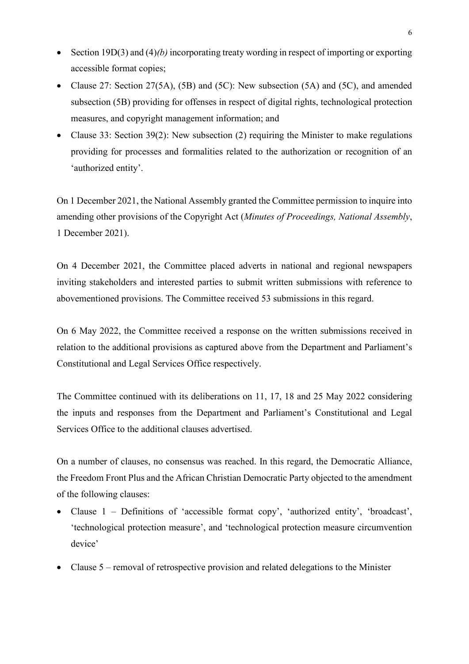- Section 19D(3) and (4)*(b)* incorporating treaty wording in respect of importing or exporting accessible format copies;
- Clause 27: Section 27(5A), (5B) and (5C): New subsection (5A) and (5C), and amended subsection (5B) providing for offenses in respect of digital rights, technological protection measures, and copyright management information; and
- Clause 33: Section 39(2): New subsection (2) requiring the Minister to make regulations providing for processes and formalities related to the authorization or recognition of an 'authorized entity'.

On 1 December 2021, the National Assembly granted the Committee permission to inquire into amending other provisions of the Copyright Act (*Minutes of Proceedings, National Assembly*, 1 December 2021).

On 4 December 2021, the Committee placed adverts in national and regional newspapers inviting stakeholders and interested parties to submit written submissions with reference to abovementioned provisions. The Committee received 53 submissions in this regard.

On 6 May 2022, the Committee received a response on the written submissions received in relation to the additional provisions as captured above from the Department and Parliament's Constitutional and Legal Services Office respectively.

The Committee continued with its deliberations on 11, 17, 18 and 25 May 2022 considering the inputs and responses from the Department and Parliament's Constitutional and Legal Services Office to the additional clauses advertised.

On a number of clauses, no consensus was reached. In this regard, the Democratic Alliance, the Freedom Front Plus and the African Christian Democratic Party objected to the amendment of the following clauses:

- Clause 1 Definitions of 'accessible format copy', 'authorized entity', 'broadcast', 'technological protection measure', and 'technological protection measure circumvention device'
- Clause 5 removal of retrospective provision and related delegations to the Minister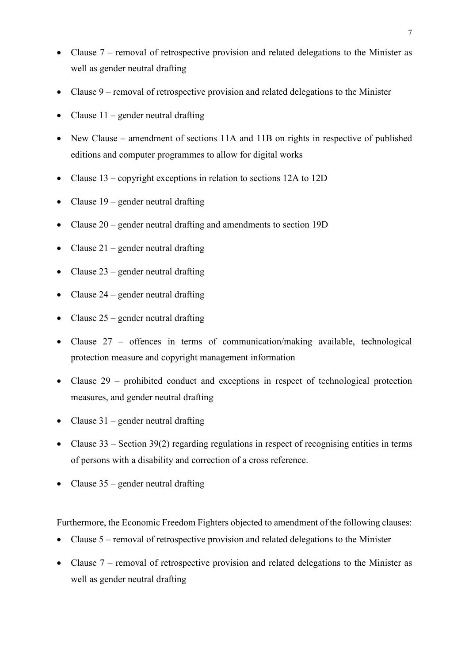- Clause 7 removal of retrospective provision and related delegations to the Minister as well as gender neutral drafting
- Clause 9 removal of retrospective provision and related delegations to the Minister
- Clause  $11$  gender neutral drafting
- New Clause amendment of sections 11A and 11B on rights in respective of published editions and computer programmes to allow for digital works
- Clause 13 copyright exceptions in relation to sections 12A to 12D
- Clause  $19$  gender neutral drafting
- Clause 20 gender neutral drafting and amendments to section 19D
- Clause  $21$  gender neutral drafting
- Clause  $23$  gender neutral drafting
- Clause  $24$  gender neutral drafting
- Clause  $25$  gender neutral drafting
- Clause 27 offences in terms of communication/making available, technological protection measure and copyright management information
- Clause 29 prohibited conduct and exceptions in respect of technological protection measures, and gender neutral drafting
- Clause  $31$  gender neutral drafting
- Clause  $33$  Section  $39(2)$  regarding regulations in respect of recognising entities in terms of persons with a disability and correction of a cross reference.
- Clause  $35$  gender neutral drafting

Furthermore, the Economic Freedom Fighters objected to amendment of the following clauses:

- Clause 5 removal of retrospective provision and related delegations to the Minister
- Clause 7 removal of retrospective provision and related delegations to the Minister as well as gender neutral drafting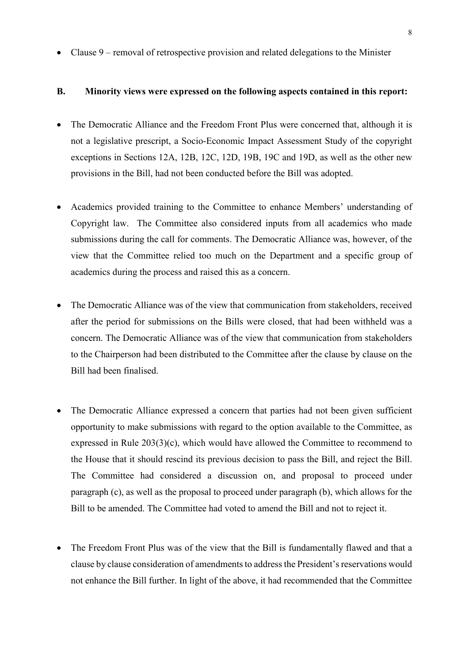• Clause 9 – removal of retrospective provision and related delegations to the Minister

#### **B. Minority views were expressed on the following aspects contained in this report:**

- The Democratic Alliance and the Freedom Front Plus were concerned that, although it is not a legislative prescript, a Socio-Economic Impact Assessment Study of the copyright exceptions in Sections 12A, 12B, 12C, 12D, 19B, 19C and 19D, as well as the other new provisions in the Bill, had not been conducted before the Bill was adopted.
- Academics provided training to the Committee to enhance Members' understanding of Copyright law. The Committee also considered inputs from all academics who made submissions during the call for comments. The Democratic Alliance was, however, of the view that the Committee relied too much on the Department and a specific group of academics during the process and raised this as a concern.
- The Democratic Alliance was of the view that communication from stakeholders, received after the period for submissions on the Bills were closed, that had been withheld was a concern. The Democratic Alliance was of the view that communication from stakeholders to the Chairperson had been distributed to the Committee after the clause by clause on the Bill had been finalised.
- The Democratic Alliance expressed a concern that parties had not been given sufficient opportunity to make submissions with regard to the option available to the Committee, as expressed in Rule  $203(3)(c)$ , which would have allowed the Committee to recommend to the House that it should rescind its previous decision to pass the Bill, and reject the Bill. The Committee had considered a discussion on, and proposal to proceed under paragraph (c), as well as the proposal to proceed under paragraph (b), which allows for the Bill to be amended. The Committee had voted to amend the Bill and not to reject it.
- The Freedom Front Plus was of the view that the Bill is fundamentally flawed and that a clause by clause consideration of amendments to address the President's reservations would not enhance the Bill further. In light of the above, it had recommended that the Committee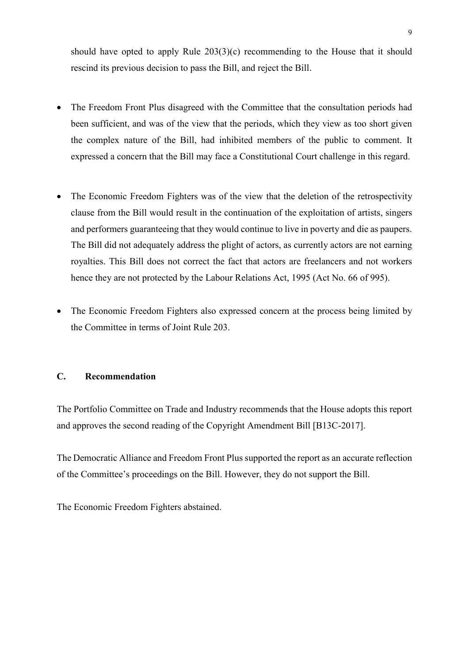should have opted to apply Rule 203(3)(c) recommending to the House that it should rescind its previous decision to pass the Bill, and reject the Bill.

- The Freedom Front Plus disagreed with the Committee that the consultation periods had been sufficient, and was of the view that the periods, which they view as too short given the complex nature of the Bill, had inhibited members of the public to comment. It expressed a concern that the Bill may face a Constitutional Court challenge in this regard.
- The Economic Freedom Fighters was of the view that the deletion of the retrospectivity clause from the Bill would result in the continuation of the exploitation of artists, singers and performers guaranteeing that they would continue to live in poverty and die as paupers. The Bill did not adequately address the plight of actors, as currently actors are not earning royalties. This Bill does not correct the fact that actors are freelancers and not workers hence they are not protected by the Labour Relations Act, 1995 (Act No. 66 of 995).
- The Economic Freedom Fighters also expressed concern at the process being limited by the Committee in terms of Joint Rule 203.

### **C. Recommendation**

The Portfolio Committee on Trade and Industry recommends that the House adopts this report and approves the second reading of the Copyright Amendment Bill [B13C-2017].

The Democratic Alliance and Freedom Front Plus supported the report as an accurate reflection of the Committee's proceedings on the Bill. However, they do not support the Bill.

The Economic Freedom Fighters abstained.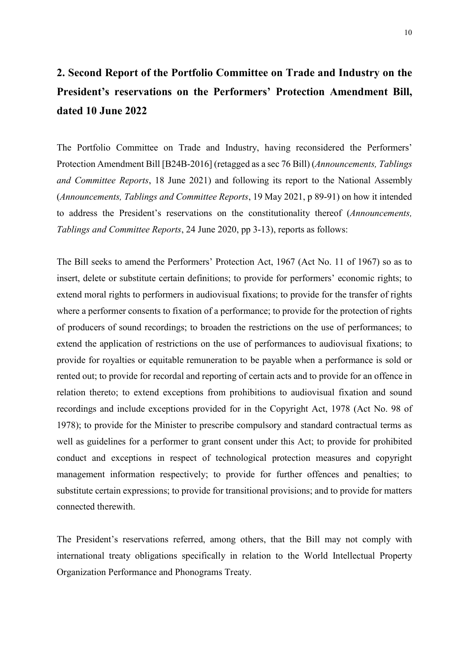# **2. Second Report of the Portfolio Committee on Trade and Industry on the President's reservations on the Performers' Protection Amendment Bill, dated 10 June 2022**

The Portfolio Committee on Trade and Industry, having reconsidered the Performers' Protection Amendment Bill [B24B-2016] (retagged as a sec 76 Bill) (*Announcements, Tablings and Committee Reports*, 18 June 2021) and following its report to the National Assembly (*Announcements, Tablings and Committee Reports*, 19 May 2021, p 89-91) on how it intended to address the President's reservations on the constitutionality thereof (*Announcements, Tablings and Committee Reports*, 24 June 2020, pp 3-13), reports as follows:

The Bill seeks to amend the Performers' Protection Act, 1967 (Act No. 11 of 1967) so as to insert, delete or substitute certain definitions; to provide for performers' economic rights; to extend moral rights to performers in audiovisual fixations; to provide for the transfer of rights where a performer consents to fixation of a performance; to provide for the protection of rights of producers of sound recordings; to broaden the restrictions on the use of performances; to extend the application of restrictions on the use of performances to audiovisual fixations; to provide for royalties or equitable remuneration to be payable when a performance is sold or rented out; to provide for recordal and reporting of certain acts and to provide for an offence in relation thereto; to extend exceptions from prohibitions to audiovisual fixation and sound recordings and include exceptions provided for in the Copyright Act, 1978 (Act No. 98 of 1978); to provide for the Minister to prescribe compulsory and standard contractual terms as well as guidelines for a performer to grant consent under this Act; to provide for prohibited conduct and exceptions in respect of technological protection measures and copyright management information respectively; to provide for further offences and penalties; to substitute certain expressions; to provide for transitional provisions; and to provide for matters connected therewith.

The President's reservations referred, among others, that the Bill may not comply with international treaty obligations specifically in relation to the World Intellectual Property Organization Performance and Phonograms Treaty.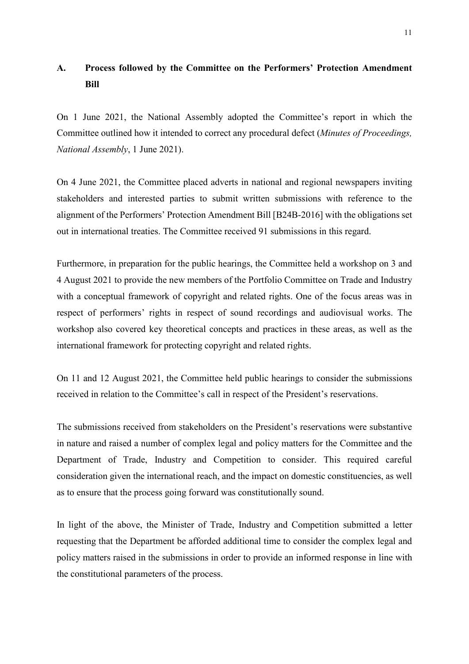### **A. Process followed by the Committee on the Performers' Protection Amendment Bill**

On 1 June 2021, the National Assembly adopted the Committee's report in which the Committee outlined how it intended to correct any procedural defect (*Minutes of Proceedings, National Assembly*, 1 June 2021).

On 4 June 2021, the Committee placed adverts in national and regional newspapers inviting stakeholders and interested parties to submit written submissions with reference to the alignment of the Performers' Protection Amendment Bill [B24B-2016] with the obligations set out in international treaties. The Committee received 91 submissions in this regard.

Furthermore, in preparation for the public hearings, the Committee held a workshop on 3 and 4 August 2021 to provide the new members of the Portfolio Committee on Trade and Industry with a conceptual framework of copyright and related rights. One of the focus areas was in respect of performers' rights in respect of sound recordings and audiovisual works. The workshop also covered key theoretical concepts and practices in these areas, as well as the international framework for protecting copyright and related rights.

On 11 and 12 August 2021, the Committee held public hearings to consider the submissions received in relation to the Committee's call in respect of the President's reservations.

The submissions received from stakeholders on the President's reservations were substantive in nature and raised a number of complex legal and policy matters for the Committee and the Department of Trade, Industry and Competition to consider. This required careful consideration given the international reach, and the impact on domestic constituencies, as well as to ensure that the process going forward was constitutionally sound.

In light of the above, the Minister of Trade, Industry and Competition submitted a letter requesting that the Department be afforded additional time to consider the complex legal and policy matters raised in the submissions in order to provide an informed response in line with the constitutional parameters of the process.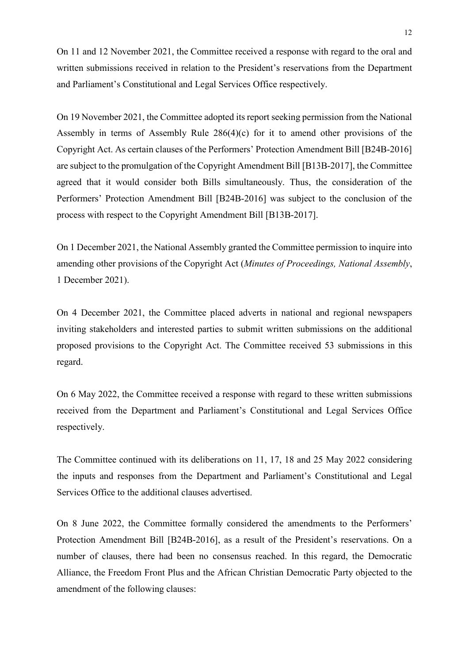On 11 and 12 November 2021, the Committee received a response with regard to the oral and written submissions received in relation to the President's reservations from the Department and Parliament's Constitutional and Legal Services Office respectively.

On 19 November 2021, the Committee adopted its report seeking permission from the National Assembly in terms of Assembly Rule 286(4)(c) for it to amend other provisions of the Copyright Act. As certain clauses of the Performers' Protection Amendment Bill [B24B-2016] are subject to the promulgation of the Copyright Amendment Bill [B13B-2017], the Committee agreed that it would consider both Bills simultaneously. Thus, the consideration of the Performers' Protection Amendment Bill [B24B-2016] was subject to the conclusion of the process with respect to the Copyright Amendment Bill [B13B-2017].

On 1 December 2021, the National Assembly granted the Committee permission to inquire into amending other provisions of the Copyright Act (*Minutes of Proceedings, National Assembly*, 1 December 2021).

On 4 December 2021, the Committee placed adverts in national and regional newspapers inviting stakeholders and interested parties to submit written submissions on the additional proposed provisions to the Copyright Act. The Committee received 53 submissions in this regard.

On 6 May 2022, the Committee received a response with regard to these written submissions received from the Department and Parliament's Constitutional and Legal Services Office respectively.

The Committee continued with its deliberations on 11, 17, 18 and 25 May 2022 considering the inputs and responses from the Department and Parliament's Constitutional and Legal Services Office to the additional clauses advertised.

On 8 June 2022, the Committee formally considered the amendments to the Performers' Protection Amendment Bill [B24B-2016], as a result of the President's reservations. On a number of clauses, there had been no consensus reached. In this regard, the Democratic Alliance, the Freedom Front Plus and the African Christian Democratic Party objected to the amendment of the following clauses: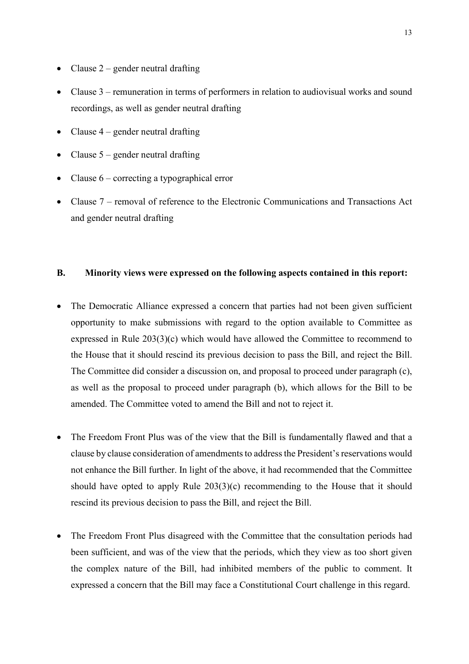- Clause  $2$  gender neutral drafting
- Clause 3 remuneration in terms of performers in relation to audiovisual works and sound recordings, as well as gender neutral drafting
- Clause  $4$  gender neutral drafting
- Clause  $5$  gender neutral drafting
- Clause  $6$  correcting a typographical error
- Clause 7 removal of reference to the Electronic Communications and Transactions Act and gender neutral drafting

### **B. Minority views were expressed on the following aspects contained in this report:**

- The Democratic Alliance expressed a concern that parties had not been given sufficient opportunity to make submissions with regard to the option available to Committee as expressed in Rule 203(3)(c) which would have allowed the Committee to recommend to the House that it should rescind its previous decision to pass the Bill, and reject the Bill. The Committee did consider a discussion on, and proposal to proceed under paragraph (c), as well as the proposal to proceed under paragraph (b), which allows for the Bill to be amended. The Committee voted to amend the Bill and not to reject it.
- The Freedom Front Plus was of the view that the Bill is fundamentally flawed and that a clause by clause consideration of amendments to address the President's reservations would not enhance the Bill further. In light of the above, it had recommended that the Committee should have opted to apply Rule 203(3)(c) recommending to the House that it should rescind its previous decision to pass the Bill, and reject the Bill.
- The Freedom Front Plus disagreed with the Committee that the consultation periods had been sufficient, and was of the view that the periods, which they view as too short given the complex nature of the Bill, had inhibited members of the public to comment. It expressed a concern that the Bill may face a Constitutional Court challenge in this regard.